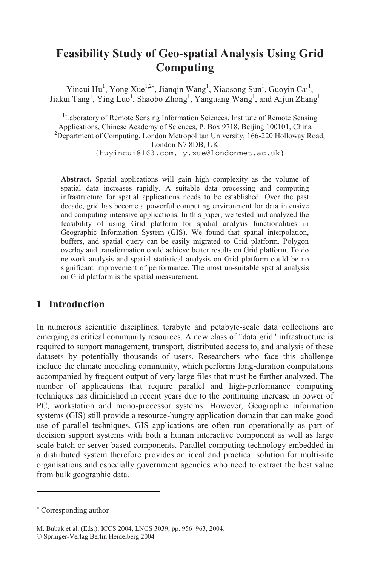# **Feasibility Study of Geo-spatial Analysis Using Grid Computing**

Yincui Hu<sup>1</sup>, Yong Xue<sup>1,2\*</sup>, Jianqin Wang<sup>1</sup>, Xiaosong Sun<sup>1</sup>, Guoyin Cai<sup>1</sup>, Jiakui Tang<sup>1</sup>, Ying Luo<sup>1</sup>, Shaobo Zhong<sup>1</sup>, Yanguang Wang<sup>1</sup>, and Aijun Zhang<sup>1</sup>

<sup>1</sup>Laboratory of Remote Sensing Information Sciences, Institute of Remote Sensing Applications, Chinese Academy of Sciences, P. Box 9718, Beijing 100101, China <sup>2</sup>Department of Computing, London Metropolitan University, 166-220 Holloway Road, London N7 8DB, UK {huyincui@163.com, y.xue@londonmet.ac.uk}

**Abstract.** Spatial applications will gain high complexity as the volume of spatial data increases rapidly. A suitable data processing and computing infrastructure for spatial applications needs to be established. Over the past decade, grid has become a powerful computing environment for data intensive and computing intensive applications. In this paper, we tested and analyzed the feasibility of using Grid platform for spatial analysis functionalities in Geographic Information System (GIS). We found that spatial interpolation, buffers, and spatial query can be easily migrated to Grid platform. Polygon overlay and transformation could achieve better results on Grid platform. To do network analysis and spatial statistical analysis on Grid platform could be no significant improvement of performance. The most un-suitable spatial analysis on Grid platform is the spatial measurement.

## **1 Introduction**

In numerous scientific disciplines, terabyte and petabyte-scale data collections are emerging as critical community resources. A new class of "data grid" infrastructure is required to support management, transport, distributed access to, and analysis of these datasets by potentially thousands of users. Researchers who face this challenge include the climate modeling community, which performs long-duration computations accompanied by frequent output of very large files that must be further analyzed. The number of applications that require parallel and high-performance computing techniques has diminished in recent years due to the continuing increase in power of PC, workstation and mono-processor systems. However, Geographic information systems (GIS) still provide a resource-hungry application domain that can make good use of parallel techniques. GIS applications are often run operationally as part of decision support systems with both a human interactive component as well as large scale batch or server-based components. Parallel computing technology embedded in a distributed system therefore provides an ideal and practical solution for multi-site organisations and especially government agencies who need to extract the best value from bulk geographic data.

j

<sup>\*</sup> Corresponding author

M. Bubak et al. (Eds.): ICCS 2004, LNCS 3039, pp. 956–963, 2004. © Springer-Verlag Berlin Heidelberg 2004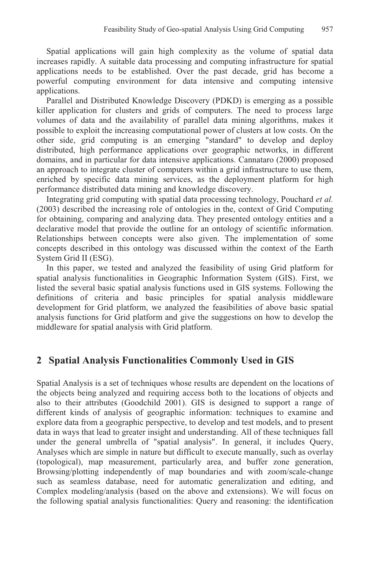Spatial applications will gain high complexity as the volume of spatial data increases rapidly. A suitable data processing and computing infrastructure for spatial applications needs to be established. Over the past decade, grid has become a powerful computing environment for data intensive and computing intensive applications.

Parallel and Distributed Knowledge Discovery (PDKD) is emerging as a possible killer application for clusters and grids of computers. The need to process large volumes of data and the availability of parallel data mining algorithms, makes it possible to exploit the increasing computational power of clusters at low costs. On the other side, grid computing is an emerging "standard" to develop and deploy distributed, high performance applications over geographic networks, in different domains, and in particular for data intensive applications. Cannataro (2000) proposed an approach to integrate cluster of computers within a grid infrastructure to use them, enriched by specific data mining services, as the deployment platform for high performance distributed data mining and knowledge discovery.

Integrating grid computing with spatial data processing technology, Pouchard *et al.* (2003) described the increasing role of ontologies in the, context of Grid Computing for obtaining, comparing and analyzing data. They presented ontology entities and a declarative model that provide the outline for an ontology of scientific information. Relationships between concepts were also given. The implementation of some concepts described in this ontology was discussed within the context of the Earth System Grid II (ESG).

In this paper, we tested and analyzed the feasibility of using Grid platform for spatial analysis functionalities in Geographic Information System (GIS). First, we listed the several basic spatial analysis functions used in GIS systems. Following the definitions of criteria and basic principles for spatial analysis middleware development for Grid platform, we analyzed the feasibilities of above basic spatial analysis functions for Grid platform and give the suggestions on how to develop the middleware for spatial analysis with Grid platform.

# **2 Spatial Analysis Functionalities Commonly Used in GIS**

Spatial Analysis is a set of techniques whose results are dependent on the locations of the objects being analyzed and requiring access both to the locations of objects and also to their attributes (Goodchild 2001). GIS is designed to support a range of different kinds of analysis of geographic information: techniques to examine and explore data from a geographic perspective, to develop and test models, and to present data in ways that lead to greater insight and understanding. All of these techniques fall under the general umbrella of "spatial analysis". In general, it includes Query, Analyses which are simple in nature but difficult to execute manually, such as overlay (topological), map measurement, particularly area, and buffer zone generation, Browsing/plotting independently of map boundaries and with zoom/scale-change such as seamless database, need for automatic generalization and editing, and Complex modeling/analysis (based on the above and extensions). We will focus on the following spatial analysis functionalities: Query and reasoning: the identification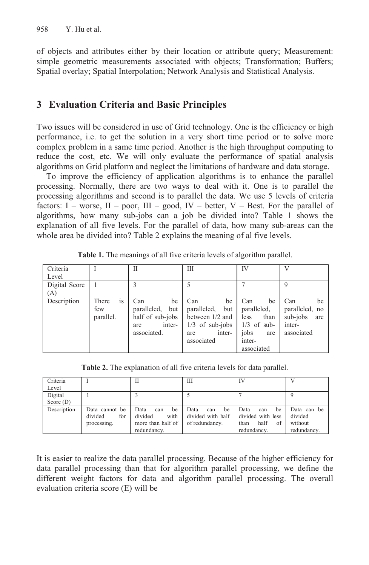of objects and attributes either by their location or attribute query; Measurement: simple geometric measurements associated with objects; Transformation; Buffers; Spatial overlay; Spatial Interpolation; Network Analysis and Statistical Analysis.

# **3 Evaluation Criteria and Basic Principles**

Two issues will be considered in use of Grid technology. One is the efficiency or high performance, i.e. to get the solution in a very short time period or to solve more complex problem in a same time period. Another is the high throughput computing to reduce the cost, etc. We will only evaluate the performance of spatial analysis algorithms on Grid platform and neglect the limitations of hardware and data storage.

To improve the efficiency of application algorithms is to enhance the parallel processing. Normally, there are two ways to deal with it. One is to parallel the processing algorithms and second is to parallel the data. We use 5 levels of criteria factors:  $I$  – worse,  $II$  – poor,  $III$  – good,  $IV$  – better,  $V$  – Best. For the parallel of algorithms, how many sub-jobs can a job be divided into? Table 1 shows the explanation of all five levels. For the parallel of data, how many sub-areas can the whole area be divided into? Table 2 explains the meaning of al five levels.

| Criteria<br>Level    |                                 | П                                                                                   | Ш                                                                                                        | IV                                                                                               | $\mathbf{V}$                                                           |
|----------------------|---------------------------------|-------------------------------------------------------------------------------------|----------------------------------------------------------------------------------------------------------|--------------------------------------------------------------------------------------------------|------------------------------------------------------------------------|
| Digital Score<br>(A) |                                 |                                                                                     |                                                                                                          |                                                                                                  | Q                                                                      |
| Description          | is<br>There<br>few<br>parallel. | Can<br>be<br>paralleled,<br>but<br>half of sub-jobs<br>inter-<br>are<br>associated. | Can<br>be<br>paralleled,<br>but<br>between $1/2$ and<br>$1/3$ of sub-jobs<br>inter-<br>are<br>associated | Can<br>be<br>paralleled,<br>less<br>than<br>$1/3$ of sub-<br>jobs<br>are<br>inter-<br>associated | be<br>Can<br>paralleled, no<br>sub-jobs<br>are<br>inter-<br>associated |

**Table 1.** The meanings of all five criteria levels of algorithm parallel.

**Table 2.** The explanation of all five criteria levels for data parallel.

| Criteria    |                | П                 | Ш                 | IV                 |             |
|-------------|----------------|-------------------|-------------------|--------------------|-------------|
| Level       |                |                   |                   |                    |             |
| Digital     |                |                   |                   |                    |             |
| Score $(D)$ |                |                   |                   |                    |             |
| Description | Data cannot be | be<br>Data<br>can | Data<br>be<br>can | Data<br>be<br>can  | Data can be |
|             | divided<br>for | divided<br>with   | divided with half | divided with less  | divided     |
|             | processing.    | more than half of | of redundancy.    | of<br>half<br>than | without     |
|             |                | redundancy.       |                   | redundancy.        | redundancy. |

It is easier to realize the data parallel processing. Because of the higher efficiency for data parallel processing than that for algorithm parallel processing, we define the different weight factors for data and algorithm parallel processing. The overall evaluation criteria score (E) will be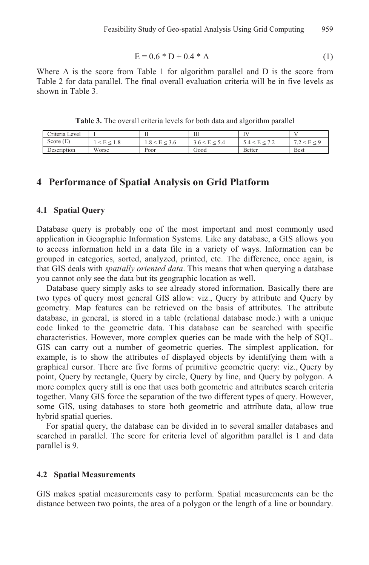$$
E = 0.6 * D + 0.4 * A \tag{1}
$$

Where A is the score from Table 1 for algorithm parallel and D is the score from Table 2 for data parallel. The final overall evaluation criteria will be in five levels as shown in Table 3.

**Table 3.** The overall criteria levels for both data and algorithm parallel

| riteria<br>Level |          |                               | Ш                                | <b>YY</b> 3 |                                                         |
|------------------|----------|-------------------------------|----------------------------------|-------------|---------------------------------------------------------|
| Score $(E)$      | ы<br>1.0 | $\Omega$<br>3.6<br>1.8<br>∼ ш | E<br>3.6<br>$\sim$<br>$\leq$ 2.4 | 5.4<br>∸    | $E \leq$<br>$\sim$ $\alpha$<br>$\overline{\phantom{a}}$ |
| Description      | Worse    | Poor                          | Good                             | Better      | <b>Best</b>                                             |

### **4 Performance of Spatial Analysis on Grid Platform**

#### **4.1 Spatial Query**

Database query is probably one of the most important and most commonly used application in Geographic Information Systems. Like any database, a GIS allows you to access information held in a data file in a variety of ways. Information can be grouped in categories, sorted, analyzed, printed, etc. The difference, once again, is that GIS deals with *spatially oriented data*. This means that when querying a database you cannot only see the data but its geographic location as well.

Database query simply asks to see already stored information. Basically there are two types of query most general GIS allow: viz., Query by attribute and Query by geometry. Map features can be retrieved on the basis of attributes. The attribute database, in general, is stored in a table (relational database mode.) with a unique code linked to the geometric data. This database can be searched with specific characteristics. However, more complex queries can be made with the help of SQL. GIS can carry out a number of geometric queries. The simplest application, for example, is to show the attributes of displayed objects by identifying them with a graphical cursor. There are five forms of primitive geometric query: viz., Query by point, Query by rectangle, Query by circle, Query by line, and Query by polygon. A more complex query still is one that uses both geometric and attributes search criteria together. Many GIS force the separation of the two different types of query. However, some GIS, using databases to store both geometric and attribute data, allow true hybrid spatial queries.

For spatial query, the database can be divided in to several smaller databases and searched in parallel. The score for criteria level of algorithm parallel is 1 and data parallel is 9.

#### **4.2 Spatial Measurements**

GIS makes spatial measurements easy to perform. Spatial measurements can be the distance between two points, the area of a polygon or the length of a line or boundary.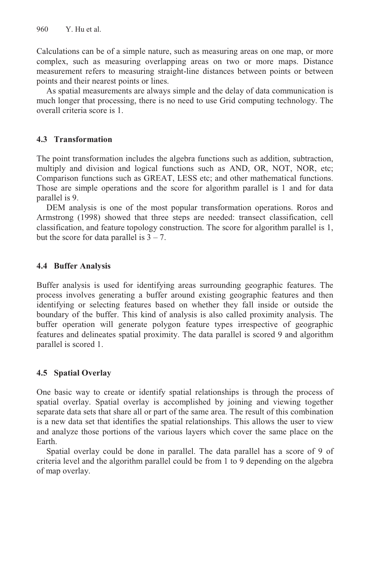Calculations can be of a simple nature, such as measuring areas on one map, or more complex, such as measuring overlapping areas on two or more maps. Distance measurement refers to measuring straight-line distances between points or between points and their nearest points or lines.

As spatial measurements are always simple and the delay of data communication is much longer that processing, there is no need to use Grid computing technology. The overall criteria score is 1.

#### **4.3 Transformation**

The point transformation includes the algebra functions such as addition, subtraction, multiply and division and logical functions such as AND, OR, NOT, NOR, etc; Comparison functions such as GREAT, LESS etc; and other mathematical functions. Those are simple operations and the score for algorithm parallel is 1 and for data parallel is 9.

DEM analysis is one of the most popular transformation operations. Roros and Armstrong (1998) showed that three steps are needed: transect classification, cell classification, and feature topology construction. The score for algorithm parallel is 1, but the score for data parallel is  $3 - 7$ .

### **4.4 Buffer Analysis**

Buffer analysis is used for identifying areas surrounding geographic features. The process involves generating a buffer around existing geographic features and then identifying or selecting features based on whether they fall inside or outside the boundary of the buffer. This kind of analysis is also called proximity analysis. The buffer operation will generate polygon feature types irrespective of geographic features and delineates spatial proximity. The data parallel is scored 9 and algorithm parallel is scored 1.

### **4.5 Spatial Overlay**

One basic way to create or identify spatial relationships is through the process of spatial overlay. Spatial overlay is accomplished by joining and viewing together separate data sets that share all or part of the same area. The result of this combination is a new data set that identifies the spatial relationships. This allows the user to view and analyze those portions of the various layers which cover the same place on the Earth.

Spatial overlay could be done in parallel. The data parallel has a score of 9 of criteria level and the algorithm parallel could be from 1 to 9 depending on the algebra of map overlay.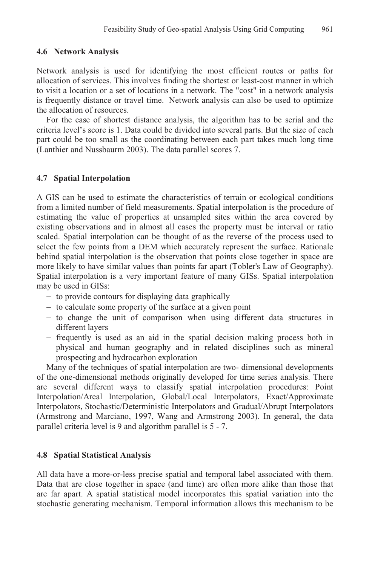#### **4.6 Network Analysis**

Network analysis is used for identifying the most efficient routes or paths for allocation of services. This involves finding the shortest or least-cost manner in which to visit a location or a set of locations in a network. The "cost" in a network analysis is frequently distance or travel time. Network analysis can also be used to optimize the allocation of resources.

For the case of shortest distance analysis, the algorithm has to be serial and the criteria level's score is 1. Data could be divided into several parts. But the size of each part could be too small as the coordinating between each part takes much long time (Lanthier and Nussbaurm 2003). The data parallel scores 7.

#### **4.7 Spatial Interpolation**

A GIS can be used to estimate the characteristics of terrain or ecological conditions from a limited number of field measurements. Spatial interpolation is the procedure of estimating the value of properties at unsampled sites within the area covered by existing observations and in almost all cases the property must be interval or ratio scaled. Spatial interpolation can be thought of as the reverse of the process used to select the few points from a DEM which accurately represent the surface. Rationale behind spatial interpolation is the observation that points close together in space are more likely to have similar values than points far apart (Tobler's Law of Geography). Spatial interpolation is a very important feature of many GISs. Spatial interpolation may be used in GISs:

- − to provide contours for displaying data graphically
- − to calculate some property of the surface at a given point
- − to change the unit of comparison when using different data structures in different layers
- − frequently is used as an aid in the spatial decision making process both in physical and human geography and in related disciplines such as mineral prospecting and hydrocarbon exploration

Many of the techniques of spatial interpolation are two- dimensional developments of the one-dimensional methods originally developed for time series analysis. There are several different ways to classify spatial interpolation procedures: Point Interpolation/Areal Interpolation, Global/Local Interpolators, Exact/Approximate Interpolators, Stochastic/Deterministic Interpolators and Gradual/Abrupt Interpolators (Armstrong and Marciano, 1997, Wang and Armstrong 2003). In general, the data parallel criteria level is 9 and algorithm parallel is 5 - 7.

#### **4.8 Spatial Statistical Analysis**

All data have a more-or-less precise spatial and temporal label associated with them. Data that are close together in space (and time) are often more alike than those that are far apart. A spatial statistical model incorporates this spatial variation into the stochastic generating mechanism. Temporal information allows this mechanism to be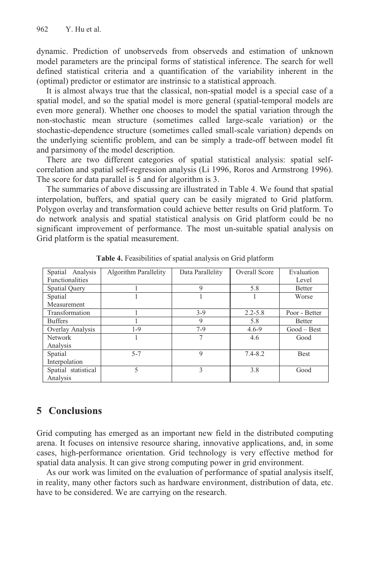dynamic. Prediction of unobserveds from observeds and estimation of unknown model parameters are the principal forms of statistical inference. The search for well defined statistical criteria and a quantification of the variability inherent in the (optimal) predictor or estimator are instrinsic to a statistical approach.

It is almost always true that the classical, non-spatial model is a special case of a spatial model, and so the spatial model is more general (spatial-temporal models are even more general). Whether one chooses to model the spatial variation through the non-stochastic mean structure (sometimes called large-scale variation) or the stochastic-dependence structure (sometimes called small-scale variation) depends on the underlying scientific problem, and can be simply a trade-off between model fit and parsimony of the model description.

There are two different categories of spatial statistical analysis: spatial selfcorrelation and spatial self-regression analysis (Li 1996, Roros and Armstrong 1996). The score for data parallel is 5 and for algorithm is 3.

The summaries of above discussing are illustrated in Table 4. We found that spatial interpolation, buffers, and spatial query can be easily migrated to Grid platform. Polygon overlay and transformation could achieve better results on Grid platform. To do network analysis and spatial statistical analysis on Grid platform could be no significant improvement of performance. The most un-suitable spatial analysis on Grid platform is the spatial measurement.

| Spatial Analysis    | Algorithm Parallelity | Data Parallelity | Overall Score | Evaluation    |
|---------------------|-----------------------|------------------|---------------|---------------|
| Functionalities     |                       |                  |               | Level         |
| Spatial Query       |                       | 9                | 5.8           | <b>Better</b> |
| Spatial             |                       |                  |               | Worse         |
| Measurement         |                       |                  |               |               |
| Transformation      |                       | $3-9$            | $2.2 - 5.8$   | Poor - Better |
| <b>Buffers</b>      |                       | 9                | 5.8           | <b>Better</b> |
| Overlay Analysis    | $1-9$                 | $7-9$            | $4.6 - 9$     | $Good-Best$   |
| <b>Network</b>      |                       |                  | 4.6           | Good          |
| Analysis            |                       |                  |               |               |
| Spatial             | $5 - 7$               | $\mathbf Q$      | $7.4 - 8.2$   | <b>Best</b>   |
| Interpolation       |                       |                  |               |               |
| Spatial statistical | 5                     | 3                | 3.8           | Good          |
| Analysis            |                       |                  |               |               |

**Table 4.** Feasibilities of spatial analysis on Grid platform

# **5 Conclusions**

Grid computing has emerged as an important new field in the distributed computing arena. It focuses on intensive resource sharing, innovative applications, and, in some cases, high-performance orientation. Grid technology is very effective method for spatial data analysis. It can give strong computing power in grid environment.

As our work was limited on the evaluation of performance of spatial analysis itself, in reality, many other factors such as hardware environment, distribution of data, etc. have to be considered. We are carrying on the research.